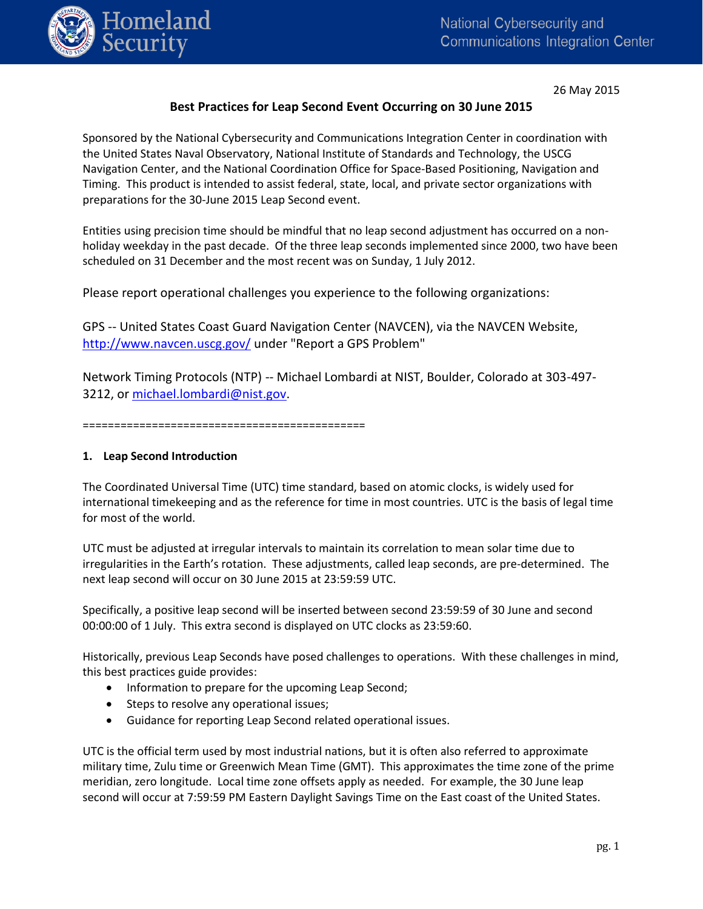

26 May 2015

# **Best Practices for Leap Second Event Occurring on 30 June 2015**

Sponsored by the National Cybersecurity and Communications Integration Center in coordination with the United States Naval Observatory, National Institute of Standards and Technology, the USCG Navigation Center, and the National Coordination Office for Space-Based Positioning, Navigation and Timing. This product is intended to assist federal, state, local, and private sector organizations with preparations for the 30-June 2015 Leap Second event.

Entities using precision time should be mindful that no leap second adjustment has occurred on a nonholiday weekday in the past decade. Of the three leap seconds implemented since 2000, two have been scheduled on 31 December and the most recent was on Sunday, 1 July 2012.

Please report operational challenges you experience to the following organizations:

GPS -- United States Coast Guard Navigation Center (NAVCEN), via the NAVCEN Website, <http://www.navcen.uscg.gov/> under "Report a GPS Problem"

Network Timing Protocols (NTP) -- Michael Lombardi at NIST, Boulder, Colorado at 303-497 3212, or [michael.lombardi@nist.gov.](mailto:michael.lombardi@nist.gov)

=============================================

### **1. Leap Second Introduction**

The Coordinated Universal Time (UTC) time standard, based on atomic clocks, is widely used for international timekeeping and as the reference for time in most countries. UTC is the basis of legal time for most of the world.

UTC must be adjusted at irregular intervals to maintain its correlation to mean solar time due to irregularities in the Earth's rotation. These adjustments, called leap seconds, are pre-determined. The next leap second will occur on 30 June 2015 at 23:59:59 UTC.

Specifically, a positive leap second will be inserted between second 23:59:59 of 30 June and second 00:00:00 of 1 July. This extra second is displayed on UTC clocks as 23:59:60.

Historically, previous Leap Seconds have posed challenges to operations. With these challenges in mind, this best practices guide provides:

- Information to prepare for the upcoming Leap Second;
- Steps to resolve any operational issues;
- Guidance for reporting Leap Second related operational issues.

UTC is the official term used by most industrial nations, but it is often also referred to approximate military time, Zulu time or Greenwich Mean Time (GMT). This approximates the time zone of the prime meridian, zero longitude. Local time zone offsets apply as needed. For example, the 30 June leap second will occur at 7:59:59 PM Eastern Daylight Savings Time on the East coast of the United States.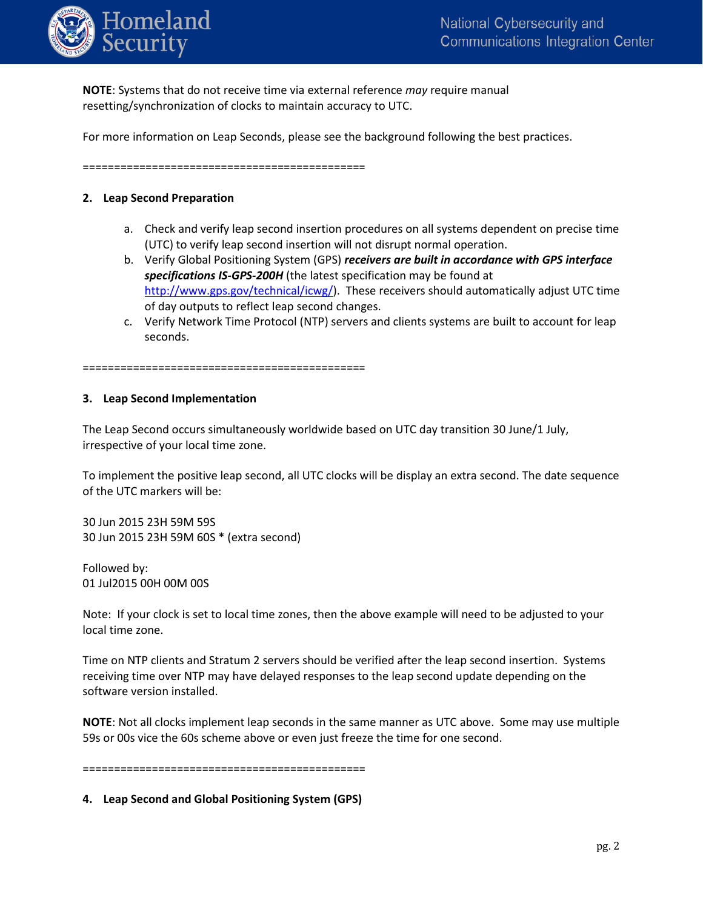

**NOTE**: Systems that do not receive time via external reference *may* require manual resetting/synchronization of clocks to maintain accuracy to UTC.

For more information on Leap Seconds, please see the background following the best practices.

=============================================

### **2. Leap Second Preparation**

- a. Check and verify leap second insertion procedures on all systems dependent on precise time (UTC) to verify leap second insertion will not disrupt normal operation.
- b. Verify Global Positioning System (GPS) *receivers are built in accordance with GPS interface specifications IS-GPS-200H* (the latest specification may be found at [http://www.gps.gov/technical/icwg/\)](http://www.gps.gov/technical/icwg/). These receivers should automatically adjust UTC time of day outputs to reflect leap second changes.
- c. Verify Network Time Protocol (NTP) servers and clients systems are built to account for leap seconds.

=============================================

#### **3. Leap Second Implementation**

The Leap Second occurs simultaneously worldwide based on UTC day transition 30 June/1 July, irrespective of your local time zone.

To implement the positive leap second, all UTC clocks will be display an extra second. The date sequence of the UTC markers will be:

30 Jun 2015 23H 59M 59S 30 Jun 2015 23H 59M 60S \* (extra second)

Followed by: 01 Jul2015 00H 00M 00S

Note: If your clock is set to local time zones, then the above example will need to be adjusted to your local time zone.

Time on NTP clients and Stratum 2 servers should be verified after the leap second insertion. Systems receiving time over NTP may have delayed responses to the leap second update depending on the software version installed.

**NOTE**: Not all clocks implement leap seconds in the same manner as UTC above. Some may use multiple 59s or 00s vice the 60s scheme above or even just freeze the time for one second.

=============================================

**4. Leap Second and Global Positioning System (GPS)**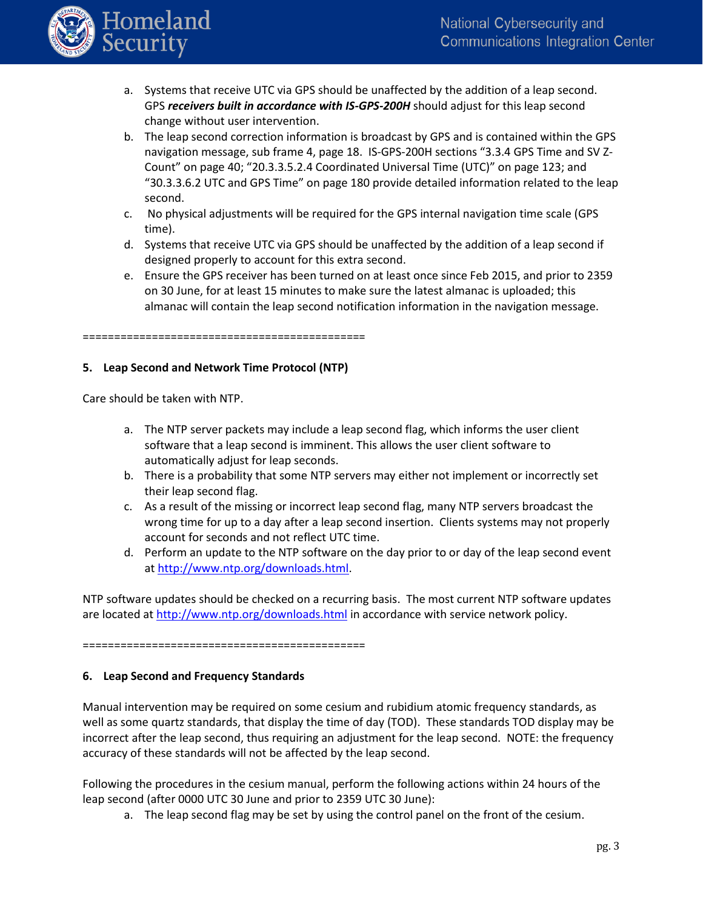

- a. Systems that receive UTC via GPS should be unaffected by the addition of a leap second. GPS *receivers built in accordance with IS-GPS-200H* should adjust for this leap second change without user intervention.
- b. The leap second correction information is broadcast by GPS and is contained within the GPS navigation message, sub frame 4, page 18. IS-GPS-200H sections "3.3.4 GPS Time and SV Z-Count" on page 40; "20.3.3.5.2.4 Coordinated Universal Time (UTC)" on page 123; and "30.3.3.6.2 UTC and GPS Time" on page 180 provide detailed information related to the leap second.
- c. No physical adjustments will be required for the GPS internal navigation time scale (GPS time).
- d. Systems that receive UTC via GPS should be unaffected by the addition of a leap second if designed properly to account for this extra second.
- e. Ensure the GPS receiver has been turned on at least once since Feb 2015, and prior to 2359 on 30 June, for at least 15 minutes to make sure the latest almanac is uploaded; this almanac will contain the leap second notification information in the navigation message.

=============================================

### **5. Leap Second and Network Time Protocol (NTP)**

Care should be taken with NTP.

- a. The NTP server packets may include a leap second flag, which informs the user client software that a leap second is imminent. This allows the user client software to automatically adjust for leap seconds.
- b. There is a probability that some NTP servers may either not implement or incorrectly set their leap second flag.
- c. As a result of the missing or incorrect leap second flag, many NTP servers broadcast the wrong time for up to a day after a leap second insertion. Clients systems may not properly account for seconds and not reflect UTC time.
- d. Perform an update to the NTP software on the day prior to or day of the leap second event a[t http://www.ntp.org/downloads.html.](http://www.ntp.org/downloads.html)

NTP software updates should be checked on a recurring basis. The most current NTP software updates are located at<http://www.ntp.org/downloads.html> in accordance with service network policy.

=============================================

## **6. Leap Second and Frequency Standards**

Manual intervention may be required on some cesium and rubidium atomic frequency standards, as well as some quartz standards, that display the time of day (TOD). These standards TOD display may be incorrect after the leap second, thus requiring an adjustment for the leap second. NOTE: the frequency accuracy of these standards will not be affected by the leap second.

Following the procedures in the cesium manual, perform the following actions within 24 hours of the leap second (after 0000 UTC 30 June and prior to 2359 UTC 30 June):

a. The leap second flag may be set by using the control panel on the front of the cesium.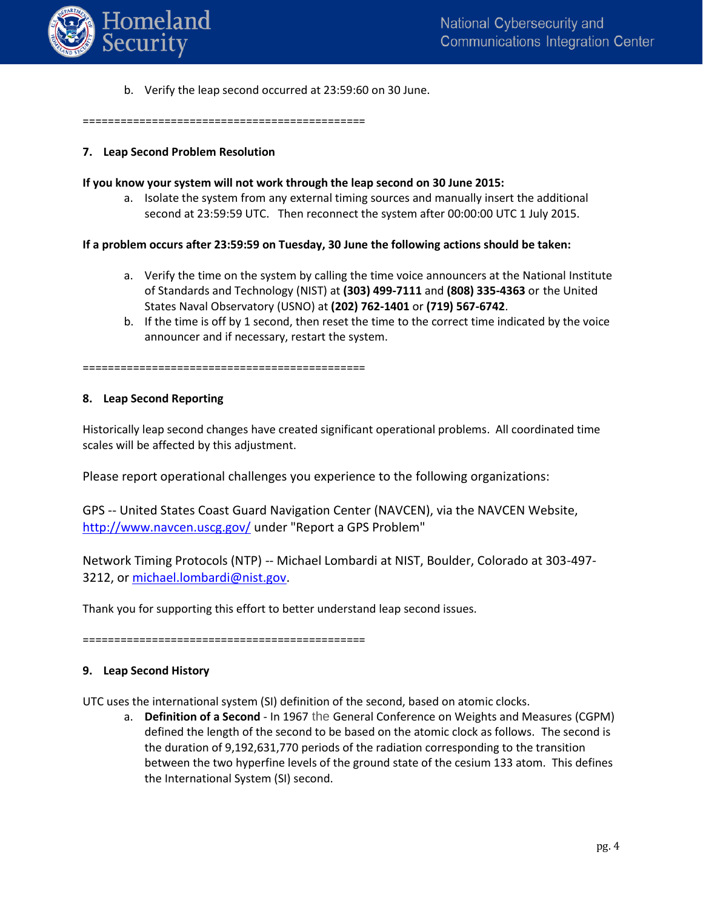

b. Verify the leap second occurred at 23:59:60 on 30 June.

=============================================

#### **7. Leap Second Problem Resolution**

#### **If you know your system will not work through the leap second on 30 June 2015:**

a. Isolate the system from any external timing sources and manually insert the additional second at 23:59:59 UTC. Then reconnect the system after 00:00:00 UTC 1 July 2015.

### **If a problem occurs after 23:59:59 on Tuesday, 30 June the following actions should be taken:**

- a. Verify the time on the system by calling the time voice announcers at the National Institute of Standards and Technology (NIST) at **(303) 499-7111** and **(808) 335-4363** or the United States Naval Observatory (USNO) at **(202) 762-1401** or **(719) 567-6742**.
- b. If the time is off by 1 second, then reset the time to the correct time indicated by the voice announcer and if necessary, restart the system.

=============================================

#### **8. Leap Second Reporting**

Historically leap second changes have created significant operational problems. All coordinated time scales will be affected by this adjustment.

Please report operational challenges you experience to the following organizations:

GPS -- United States Coast Guard Navigation Center (NAVCEN), via the NAVCEN Website, <http://www.navcen.uscg.gov/> under "Report a GPS Problem"

Network Timing Protocols (NTP) -- Michael Lombardi at NIST, Boulder, Colorado at 303-497- 3212, or [michael.lombardi@nist.gov.](mailto:michael.lombardi@nist.gov)

Thank you for supporting this effort to better understand leap second issues.

=============================================

### **9. Leap Second History**

UTC uses the international system (SI) definition of the second, based on atomic clocks.

a. **Definition of a Second** - In 1967 the General Conference on Weights and Measures (CGPM) defined the length of the second to be based on the atomic clock as follows. The second is the duration of 9,192,631,770 periods of the radiation corresponding to the transition between the two hyperfine levels of the ground state of the cesium 133 atom. This defines the International System (SI) second.